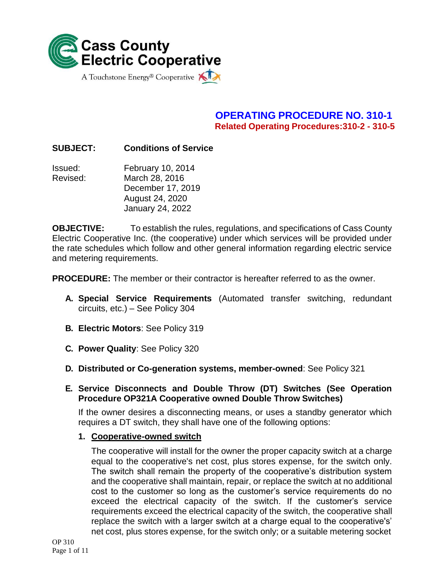

# **OPERATING PROCEDURE NO. 310-1 Related Operating Procedures:310-2 - 310-5**

### **SUBJECT: Conditions of Service**

Issued: February 10, 2014 Revised: March 28, 2016 December 17, 2019 August 24, 2020 January 24, 2022

**OBJECTIVE:** To establish the rules, regulations, and specifications of Cass County Electric Cooperative Inc. (the cooperative) under which services will be provided under the rate schedules which follow and other general information regarding electric service and metering requirements.

**PROCEDURE:** The member or their contractor is hereafter referred to as the owner.

- **A. Special Service Requirements** (Automated transfer switching, redundant circuits, etc.) – See Policy 304
- **B. Electric Motors**: See Policy 319
- **C. Power Quality**: See Policy 320
- **D. Distributed or Co-generation systems, member-owned**: See Policy 321
- **E. Service Disconnects and Double Throw (DT) Switches (See Operation Procedure OP321A Cooperative owned Double Throw Switches)**

If the owner desires a disconnecting means, or uses a standby generator which requires a DT switch, they shall have one of the following options:

**1. Cooperative-owned switch**

The cooperative will install for the owner the proper capacity switch at a charge equal to the cooperative's net cost, plus stores expense, for the switch only. The switch shall remain the property of the cooperative's distribution system and the cooperative shall maintain, repair, or replace the switch at no additional cost to the customer so long as the customer's service requirements do no exceed the electrical capacity of the switch. If the customer's service requirements exceed the electrical capacity of the switch, the cooperative shall replace the switch with a larger switch at a charge equal to the cooperative's' net cost, plus stores expense, for the switch only; or a suitable metering socket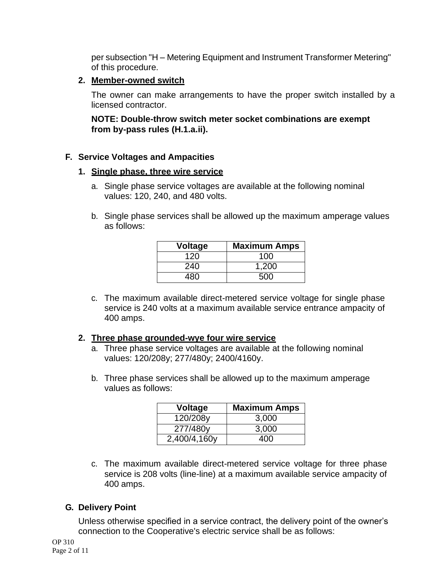per subsection "H – Metering Equipment and Instrument Transformer Metering" of this procedure.

#### **2. Member-owned switch**

The owner can make arrangements to have the proper switch installed by a licensed contractor.

**NOTE: Double-throw switch meter socket combinations are exempt from by-pass rules (H.1.a.ii).**

#### **F. Service Voltages and Ampacities**

#### **1. Single phase, three wire service**

- a. Single phase service voltages are available at the following nominal values: 120, 240, and 480 volts.
- b. Single phase services shall be allowed up the maximum amperage values as follows:

| <b>Voltage</b> | <b>Maximum Amps</b> |
|----------------|---------------------|
| 120            | 100                 |
| 240            | 1,200               |
| 480            | 500                 |

c. The maximum available direct-metered service voltage for single phase service is 240 volts at a maximum available service entrance ampacity of 400 amps.

#### **2. Three phase grounded-wye four wire service**

- a. Three phase service voltages are available at the following nominal values: 120/208y; 277/480y; 2400/4160y.
- b. Three phase services shall be allowed up to the maximum amperage values as follows:

| <b>Voltage</b> | <b>Maximum Amps</b> |
|----------------|---------------------|
| 120/208y       | 3,000               |
| 277/480y       | 3,000               |
| 2,400/4,160y   | 400                 |

c. The maximum available direct-metered service voltage for three phase service is 208 volts (line-line) at a maximum available service ampacity of 400 amps.

### **G. Delivery Point**

Unless otherwise specified in a service contract, the delivery point of the owner's connection to the Cooperative's electric service shall be as follows: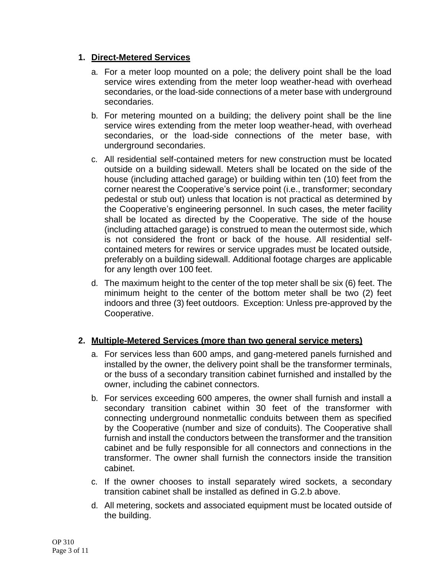### **1. Direct-Metered Services**

- a. For a meter loop mounted on a pole; the delivery point shall be the load service wires extending from the meter loop weather-head with overhead secondaries, or the load-side connections of a meter base with underground secondaries.
- b. For metering mounted on a building; the delivery point shall be the line service wires extending from the meter loop weather-head, with overhead secondaries, or the load-side connections of the meter base, with underground secondaries.
- c. All residential self-contained meters for new construction must be located outside on a building sidewall. Meters shall be located on the side of the house (including attached garage) or building within ten (10) feet from the corner nearest the Cooperative's service point (i.e., transformer; secondary pedestal or stub out) unless that location is not practical as determined by the Cooperative's engineering personnel. In such cases, the meter facility shall be located as directed by the Cooperative. The side of the house (including attached garage) is construed to mean the outermost side, which is not considered the front or back of the house. All residential selfcontained meters for rewires or service upgrades must be located outside, preferably on a building sidewall. Additional footage charges are applicable for any length over 100 feet.
- d. The maximum height to the center of the top meter shall be six (6) feet. The minimum height to the center of the bottom meter shall be two (2) feet indoors and three (3) feet outdoors. Exception: Unless pre-approved by the Cooperative.

# **2. Multiple-Metered Services (more than two general service meters)**

- a. For services less than 600 amps, and gang-metered panels furnished and installed by the owner, the delivery point shall be the transformer terminals, or the buss of a secondary transition cabinet furnished and installed by the owner, including the cabinet connectors.
- b. For services exceeding 600 amperes, the owner shall furnish and install a secondary transition cabinet within 30 feet of the transformer with connecting underground nonmetallic conduits between them as specified by the Cooperative (number and size of conduits). The Cooperative shall furnish and install the conductors between the transformer and the transition cabinet and be fully responsible for all connectors and connections in the transformer. The owner shall furnish the connectors inside the transition cabinet.
- c. If the owner chooses to install separately wired sockets, a secondary transition cabinet shall be installed as defined in G.2.b above.
- d. All metering, sockets and associated equipment must be located outside of the building.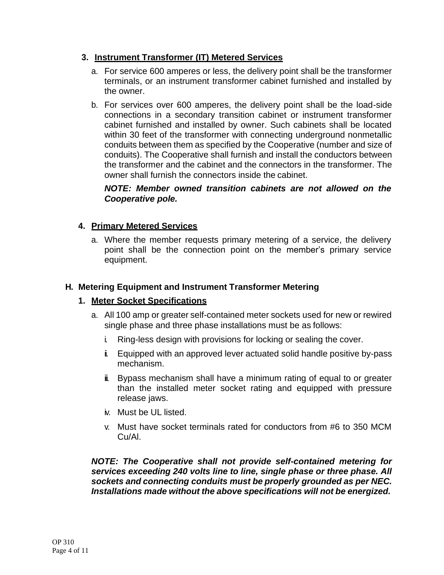### **3. Instrument Transformer (IT) Metered Services**

- a. For service 600 amperes or less, the delivery point shall be the transformer terminals, or an instrument transformer cabinet furnished and installed by the owner.
- b. For services over 600 amperes, the delivery point shall be the load-side connections in a secondary transition cabinet or instrument transformer cabinet furnished and installed by owner. Such cabinets shall be located within 30 feet of the transformer with connecting underground nonmetallic conduits between them as specified by the Cooperative (number and size of conduits). The Cooperative shall furnish and install the conductors between the transformer and the cabinet and the connectors in the transformer. The owner shall furnish the connectors inside the cabinet.

#### *NOTE: Member owned transition cabinets are not allowed on the Cooperative pole.*

### **4. Primary Metered Services**

a. Where the member requests primary metering of a service, the delivery point shall be the connection point on the member's primary service equipment.

#### **H. Metering Equipment and Instrument Transformer Metering**

#### **1. Meter Socket Specifications**

- a. All 100 amp or greater self-contained meter sockets used for new or rewired single phase and three phase installations must be as follows:
	- i. Ring-less design with provisions for locking or sealing the cover.
	- ii. Equipped with an approved lever actuated solid handle positive by-pass mechanism.
	- iii. Bypass mechanism shall have a minimum rating of equal to or greater than the installed meter socket rating and equipped with pressure release jaws.
	- iv. Must be UL listed.
	- v. Must have socket terminals rated for conductors from #6 to 350 MCM Cu/Al.

*NOTE: The Cooperative shall not provide self-contained metering for services exceeding 240 volts line to line, single phase or three phase. All sockets and connecting conduits must be properly grounded as per NEC. Installations made without the above specifications will not be energized.*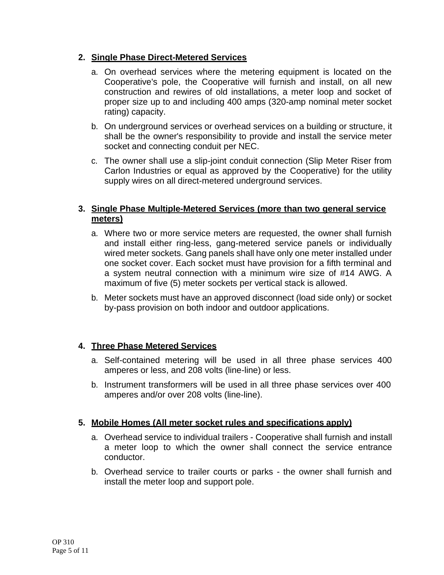### **2. Single Phase Direct-Metered Services**

- a. On overhead services where the metering equipment is located on the Cooperative's pole, the Cooperative will furnish and install, on all new construction and rewires of old installations, a meter loop and socket of proper size up to and including 400 amps (320-amp nominal meter socket rating) capacity.
- b. On underground services or overhead services on a building or structure, it shall be the owner's responsibility to provide and install the service meter socket and connecting conduit per NEC.
- c. The owner shall use a slip-joint conduit connection (Slip Meter Riser from Carlon Industries or equal as approved by the Cooperative) for the utility supply wires on all direct-metered underground services.

### **3. Single Phase Multiple-Metered Services (more than two general service meters)**

- a. Where two or more service meters are requested, the owner shall furnish and install either ring-less, gang-metered service panels or individually wired meter sockets. Gang panels shall have only one meter installed under one socket cover. Each socket must have provision for a fifth terminal and a system neutral connection with a minimum wire size of #14 AWG. A maximum of five (5) meter sockets per vertical stack is allowed.
- b. Meter sockets must have an approved disconnect (load side only) or socket by-pass provision on both indoor and outdoor applications.

### **4. Three Phase Metered Services**

- a. Self-contained metering will be used in all three phase services 400 amperes or less, and 208 volts (line-line) or less.
- b. Instrument transformers will be used in all three phase services over 400 amperes and/or over 208 volts (line-line).

### **5. Mobile Homes (All meter socket rules and specifications apply)**

- a. Overhead service to individual trailers Cooperative shall furnish and install a meter loop to which the owner shall connect the service entrance conductor.
- b. Overhead service to trailer courts or parks the owner shall furnish and install the meter loop and support pole.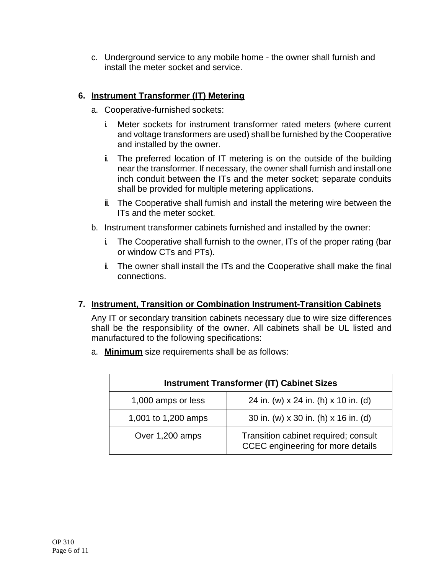c. Underground service to any mobile home - the owner shall furnish and install the meter socket and service.

# **6. Instrument Transformer (IT) Metering**

- a. Cooperative-furnished sockets:
	- i. Meter sockets for instrument transformer rated meters (where current and voltage transformers are used) shall be furnished by the Cooperative and installed by the owner.
	- i. The preferred location of IT metering is on the outside of the building near the transformer. If necessary, the owner shall furnish and install one inch conduit between the ITs and the meter socket; separate conduits shall be provided for multiple metering applications.
	- iii. The Cooperative shall furnish and install the metering wire between the ITs and the meter socket.
- b. Instrument transformer cabinets furnished and installed by the owner:
	- i. The Cooperative shall furnish to the owner, ITs of the proper rating (bar or window CTs and PTs).
	- ii. The owner shall install the ITs and the Cooperative shall make the final connections.

# **7. Instrument, Transition or Combination Instrument-Transition Cabinets**

Any IT or secondary transition cabinets necessary due to wire size differences shall be the responsibility of the owner. All cabinets shall be UL listed and manufactured to the following specifications:

a. **Minimum** size requirements shall be as follows:

| <b>Instrument Transformer (IT) Cabinet Sizes</b> |                                                                           |  |
|--------------------------------------------------|---------------------------------------------------------------------------|--|
| 1,000 amps or less                               | 24 in. (w) x 24 in. (h) x 10 in. (d)                                      |  |
| 1,001 to 1,200 amps                              | 30 in. (w) x 30 in. (h) x 16 in. (d)                                      |  |
| Over 1,200 amps                                  | Transition cabinet required; consult<br>CCEC engineering for more details |  |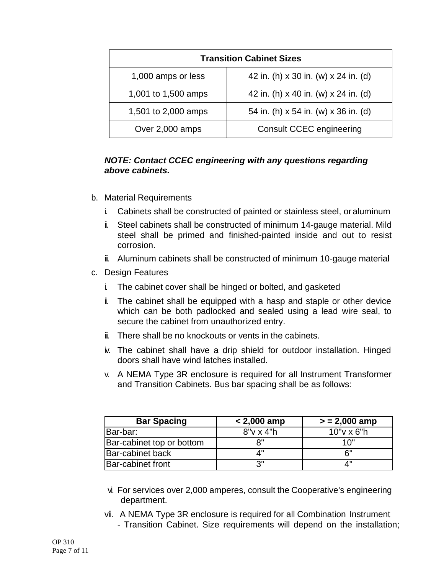| <b>Transition Cabinet Sizes</b> |                                      |  |
|---------------------------------|--------------------------------------|--|
| 1,000 amps or less              | 42 in. (h) x 30 in. (w) x 24 in. (d) |  |
| 1,001 to 1,500 amps             | 42 in. (h) x 40 in. (w) x 24 in. (d) |  |
| 1,501 to 2,000 amps             | 54 in. (h) x 54 in. (w) x 36 in. (d) |  |
| Over 2,000 amps                 | <b>Consult CCEC engineering</b>      |  |

#### *NOTE: Contact CCEC engineering with any questions regarding above cabinets.*

- b. Material Requirements
	- i. Cabinets shall be constructed of painted or stainless steel, oraluminum
	- i. Steel cabinets shall be constructed of minimum 14-gauge material. Mild steel shall be primed and finished-painted inside and out to resist corrosion.
	- iii. Aluminum cabinets shall be constructed of minimum 10-gauge material
- c. Design Features
	- i. The cabinet cover shall be hinged or bolted, and gasketed
	- i. The cabinet shall be equipped with a hasp and staple or other device which can be both padlocked and sealed using a lead wire seal, to secure the cabinet from unauthorized entry.
	- $\ddot{\mathbf{u}}$ . There shall be no knockouts or vents in the cabinets.
	- iv. The cabinet shall have a drip shield for outdoor installation. Hinged doors shall have wind latches installed.
	- v. A NEMA Type 3R enclosure is required for all Instrument Transformer and Transition Cabinets. Bus bar spacing shall be as follows:

| <b>Bar Spacing</b>        | $< 2,000$ amp    | $> 2,000$ amp |
|---------------------------|------------------|---------------|
| Bar-bar:                  | $8"v \times 4"h$ | $10"$ v x 6"h |
| Bar-cabinet top or bottom | 8"               | 1 $\cap$ "    |
| <b>Bar-cabinet back</b>   |                  | ี ค"          |
| <b>Bar-cabinet front</b>  | יי 2             | ⊿"            |

- vi. For services over 2,000 amperes, consult the Cooperative's engineering department.
- v**i**. A NEMA Type 3R enclosure is required for all Combination Instrument - Transition Cabinet. Size requirements will depend on the installation;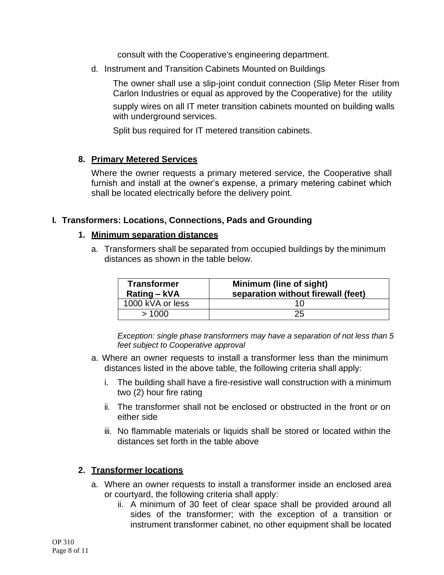consult with the Cooperative's engineering department.

d. Instrument and Transition Cabinets Mounted on Buildings

The owner shall use a slip-joint conduit connection (Slip Meter Riser from Carlon Industries or equal as approved by the Cooperative) for the utility

supply wires on all IT meter transition cabinets mounted on building walls with underground services.

Split bus required for IT metered transition cabinets.

#### **8. Primary Metered Services**

Where the owner requests a primary metered service, the Cooperative shall furnish and install at the owner's expense, a primary metering cabinet which shall be located electrically before the delivery point.

#### **I. Transformers: Locations, Connections, Pads and Grounding**

#### **1. Minimum separation distances**

a. Transformers shall be separated from occupied buildings by the minimum distances as shown in the table below.

| <b>Transformer</b><br>Rating – kVA | Minimum (line of sight)<br>separation without firewall (feet) |
|------------------------------------|---------------------------------------------------------------|
| 1000 kVA or less                   |                                                               |
| >1000                              | 25                                                            |

*Exception: single phase transformers may have a separation of not less than 5 feet subject to Cooperative approval*

- a. Where an owner requests to install a transformer less than the minimum distances listed in the above table, the following criteria shall apply:
	- i. The building shall have a fire-resistive wall construction with a minimum two (2) hour fire rating
	- ii. The transformer shall not be enclosed or obstructed in the front or on either side
	- iii. No flammable materials or liquids shall be stored or located within the distances set forth in the table above

#### **2. Transformer locations**

- a. Where an owner requests to install a transformer inside an enclosed area or courtyard, the following criteria shall apply:
	- ii. A minimum of 30 feet of clear space shall be provided around all sides of the transformer; with the exception of a transition or instrument transformer cabinet, no other equipment shall be located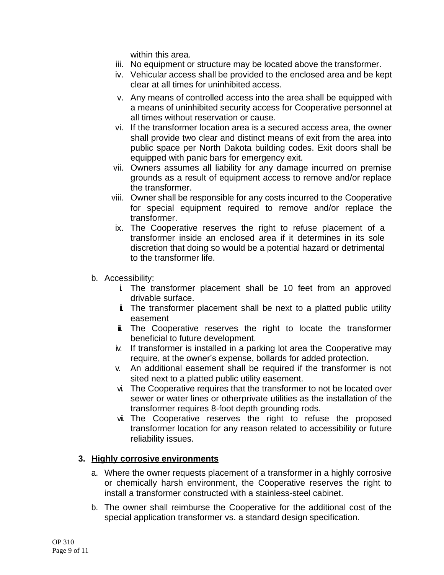within this area.

- iii. No equipment or structure may be located above the transformer.
- iv. Vehicular access shall be provided to the enclosed area and be kept clear at all times for uninhibited access.
- v. Any means of controlled access into the area shall be equipped with a means of uninhibited security access for Cooperative personnel at all times without reservation or cause.
- vi. If the transformer location area is a secured access area, the owner shall provide two clear and distinct means of exit from the area into public space per North Dakota building codes. Exit doors shall be equipped with panic bars for emergency exit.
- vii. Owners assumes all liability for any damage incurred on premise grounds as a result of equipment access to remove and/or replace the transformer.
- viii. Owner shall be responsible for any costs incurred to the Cooperative for special equipment required to remove and/or replace the transformer.
- ix. The Cooperative reserves the right to refuse placement of a transformer inside an enclosed area if it determines in its sole discretion that doing so would be a potential hazard or detrimental to the transformer life.
- b. Accessibility:
	- i. The transformer placement shall be 10 feet from an approved drivable surface.
	- i. The transformer placement shall be next to a platted public utility easement
	- $\ddot{u}$ . The Cooperative reserves the right to locate the transformer beneficial to future development.
	- iv. If transformer is installed in a parking lot area the Cooperative may require, at the owner's expense, bollards for added protection.
	- v. An additional easement shall be required if the transformer is not sited next to a platted public utility easement.
	- vi. The Cooperative requires that the transformer to not be located over sewer or water lines or other private utilities as the installation of the transformer requires 8-foot depth grounding rods.
	- vii. The Cooperative reserves the right to refuse the proposed transformer location for any reason related to accessibility or future reliability issues.

### **3. Highly corrosive environments**

- a. Where the owner requests placement of a transformer in a highly corrosive or chemically harsh environment, the Cooperative reserves the right to install a transformer constructed with a stainless-steel cabinet.
- b. The owner shall reimburse the Cooperative for the additional cost of the special application transformer vs. a standard design specification.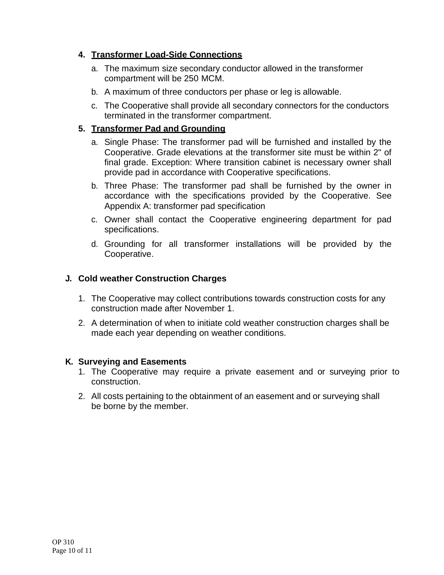### **4. Transformer Load-Side Connections**

- a. The maximum size secondary conductor allowed in the transformer compartment will be 250 MCM.
- b. A maximum of three conductors per phase or leg is allowable.
- c. The Cooperative shall provide all secondary connectors for the conductors terminated in the transformer compartment.

# **5. Transformer Pad and Grounding**

- a. Single Phase: The transformer pad will be furnished and installed by the Cooperative. Grade elevations at the transformer site must be within 2" of final grade. Exception: Where transition cabinet is necessary owner shall provide pad in accordance with Cooperative specifications.
- b. Three Phase: The transformer pad shall be furnished by the owner in accordance with the specifications provided by the Cooperative. See Appendix A: transformer pad specification
- c. Owner shall contact the Cooperative engineering department for pad specifications.
- d. Grounding for all transformer installations will be provided by the Cooperative.

### **J. Cold weather Construction Charges**

- 1. The Cooperative may collect contributions towards construction costs for any construction made after November 1.
- 2. A determination of when to initiate cold weather construction charges shall be made each year depending on weather conditions.

### **K. Surveying and Easements**

- 1. The Cooperative may require a private easement and or surveying prior to construction.
- 2. All costs pertaining to the obtainment of an easement and or surveying shall be borne by the member.